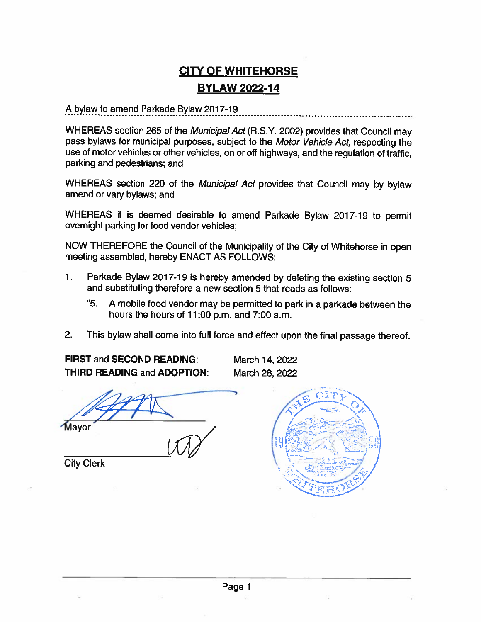# **CITY OF WHITEHORSE BYLAW 2022-14**

A bylaw to amend Parkade Bylaw 2017-19

WHEREAS section 265 of the Municipal Act (R.S.Y. 2002) provides that Council may pass bylaws for municipal purposes, subject to the Motor Vehicle Act, respecting the use of motor vehicles or other vehicles, on or off highways, and the regulation of traffic, parking and pedestrians; and

WHEREAS section 220 of the Municipal Act provides that Council may by bylaw amend or vary bylaws; and

WHEREAS it is deemed desirable to amend Parkade Bylaw 2017-19 to permit overnight parking for food vendor vehicles;

NOW THEREFORE the Council of the Municipality of the City of Whitehorse in open meeting assembled, hereby ENACT AS FOLLOWS:

- $\mathbf 1$ . Parkade Bylaw 2017-19 is hereby amended by deleting the existing section 5 and substituting therefore a new section 5 that reads as follows:
	- "5. A mobile food vendor may be permitted to park in a parkade between the hours the hours of 11:00 p.m. and 7:00 a.m.
- $2.$ This bylaw shall come into full force and effect upon the final passage thereof.

**FIRST and SECOND READING: THIRD READING and ADOPTION:**  March 14, 2022 March 28, 2022

Mayor

**City Clerk** 

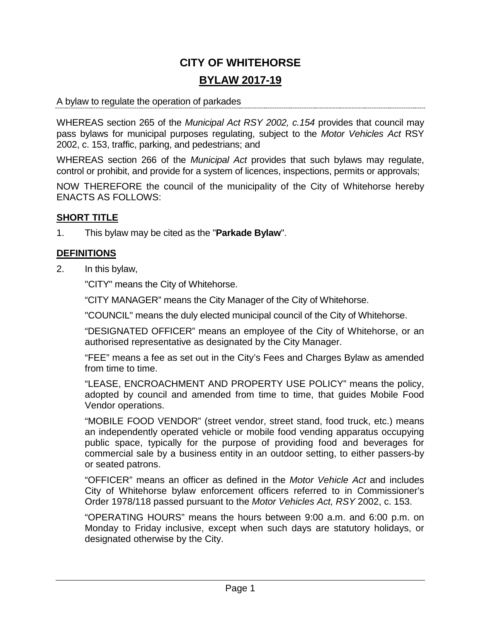# **CITY OF WHITEHORSE BYLAW 2017-19**

#### A bylaw to regulate the operation of parkades

WHEREAS section 265 of the *Municipal Act RSY 2002, c.154* provides that council may pass bylaws for municipal purposes regulating, subject to the *Motor Vehicles Act* RSY 2002, c. 153, traffic, parking, and pedestrians; and

WHEREAS section 266 of the *Municipal Act* provides that such bylaws may regulate, control or prohibit, and provide for a system of licences, inspections, permits or approvals;

NOW THEREFORE the council of the municipality of the City of Whitehorse hereby ENACTS AS FOLLOWS:

## **SHORT TITLE**

1. This bylaw may be cited as the "**Parkade Bylaw**".

# **DEFINITIONS**

2. In this bylaw,

"CITY" means the City of Whitehorse.

"CITY MANAGER" means the City Manager of the City of Whitehorse.

"COUNCIL" means the duly elected municipal council of the City of Whitehorse.

"DESIGNATED OFFICER" means an employee of the City of Whitehorse, or an authorised representative as designated by the City Manager.

"FEE" means a fee as set out in the City's Fees and Charges Bylaw as amended from time to time.

"LEASE, ENCROACHMENT AND PROPERTY USE POLICY" means the policy, adopted by council and amended from time to time, that guides Mobile Food Vendor operations.

"MOBILE FOOD VENDOR" (street vendor, street stand, food truck, etc.) means an independently operated vehicle or mobile food vending apparatus occupying public space, typically for the purpose of providing food and beverages for commercial sale by a business entity in an outdoor setting, to either passers-by or seated patrons.

"OFFICER" means an officer as defined in the *Motor Vehicle Act* and includes City of Whitehorse bylaw enforcement officers referred to in Commissioner's Order 1978/118 passed pursuant to the *Motor Vehicles Act, RSY* 2002, c. 153.

"OPERATING HOURS" means the hours between 9:00 a.m. and 6:00 p.m. on Monday to Friday inclusive, except when such days are statutory holidays, or designated otherwise by the City.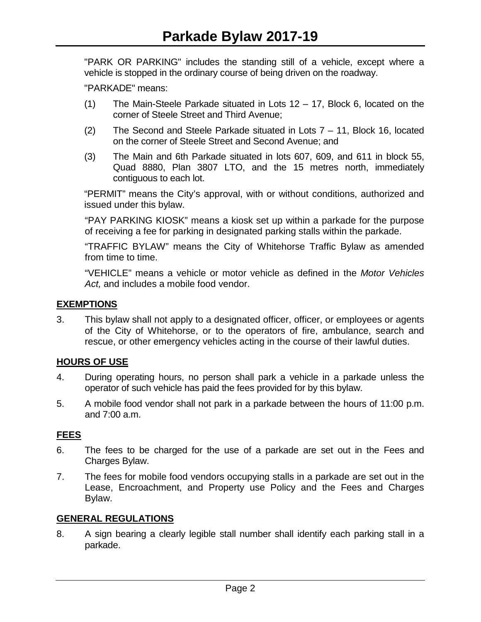"PARK OR PARKING" includes the standing still of a vehicle, except where a vehicle is stopped in the ordinary course of being driven on the roadway.

"PARKADE" means:

- (1) The Main-Steele Parkade situated in Lots 12 17, Block 6, located on the corner of Steele Street and Third Avenue;
- (2) The Second and Steele Parkade situated in Lots 7 11, Block 16, located on the corner of Steele Street and Second Avenue; and
- (3) The Main and 6th Parkade situated in lots 607, 609, and 611 in block 55, Quad 8880, Plan 3807 LTO, and the 15 metres north, immediately contiguous to each lot.

"PERMIT" means the City's approval, with or without conditions, authorized and issued under this bylaw.

"PAY PARKING KIOSK" means a kiosk set up within a parkade for the purpose of receiving a fee for parking in designated parking stalls within the parkade.

"TRAFFIC BYLAW" means the City of Whitehorse Traffic Bylaw as amended from time to time.

"VEHICLE" means a vehicle or motor vehicle as defined in the *Motor Vehicles Act,* and includes a mobile food vendor.

## **EXEMPTIONS**

3. This bylaw shall not apply to a designated officer, officer, or employees or agents of the City of Whitehorse, or to the operators of fire, ambulance, search and rescue, or other emergency vehicles acting in the course of their lawful duties.

#### **HOURS OF USE**

- 4. During operating hours, no person shall park a vehicle in a parkade unless the operator of such vehicle has paid the fees provided for by this bylaw.
- 5. A mobile food vendor shall not park in a parkade between the hours of 11:00 p.m. and 7:00 a.m.

#### **FEES**

- 6. The fees to be charged for the use of a parkade are set out in the Fees and Charges Bylaw.
- 7. The fees for mobile food vendors occupying stalls in a parkade are set out in the Lease, Encroachment, and Property use Policy and the Fees and Charges Bylaw.

#### **GENERAL REGULATIONS**

8. A sign bearing a clearly legible stall number shall identify each parking stall in a parkade.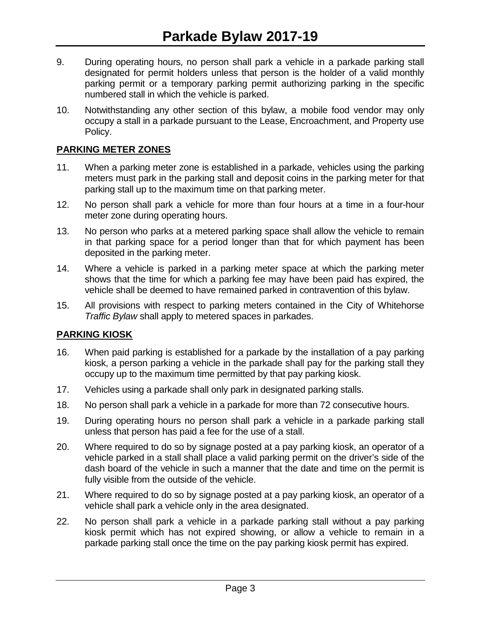- 9. During operating hours, no person shall park a vehicle in a parkade parking stall designated for permit holders unless that person is the holder of a valid monthly parking permit or a temporary parking permit authorizing parking in the specific numbered stall in which the vehicle is parked.
- 10. Notwithstanding any other section of this bylaw, a mobile food vendor may only occupy a stall in a parkade pursuant to the Lease, Encroachment, and Property use Policy.

### **PARKING METER ZONES**

- 11. When a parking meter zone is established in a parkade, vehicles using the parking meters must park in the parking stall and deposit coins in the parking meter for that parking stall up to the maximum time on that parking meter.
- 12. No person shall park a vehicle for more than four hours at a time in a four-hour meter zone during operating hours.
- 13. No person who parks at a metered parking space shall allow the vehicle to remain in that parking space for a period longer than that for which payment has been deposited in the parking meter.
- 14. Where a vehicle is parked in a parking meter space at which the parking meter shows that the time for which a parking fee may have been paid has expired, the vehicle shall be deemed to have remained parked in contravention of this bylaw.
- 15. All provisions with respect to parking meters contained in the City of Whitehorse *Traffic Bylaw* shall apply to metered spaces in parkades.

#### **PARKING KIOSK**

- 16. When paid parking is established for a parkade by the installation of a pay parking kiosk, a person parking a vehicle in the parkade shall pay for the parking stall they occupy up to the maximum time permitted by that pay parking kiosk.
- 17. Vehicles using a parkade shall only park in designated parking stalls.
- 18. No person shall park a vehicle in a parkade for more than 72 consecutive hours.
- 19. During operating hours no person shall park a vehicle in a parkade parking stall unless that person has paid a fee for the use of a stall.
- 20. Where required to do so by signage posted at a pay parking kiosk, an operator of a vehicle parked in a stall shall place a valid parking permit on the driver's side of the dash board of the vehicle in such a manner that the date and time on the permit is fully visible from the outside of the vehicle.
- 21. Where required to do so by signage posted at a pay parking kiosk, an operator of a vehicle shall park a vehicle only in the area designated.
- 22. No person shall park a vehicle in a parkade parking stall without a pay parking kiosk permit which has not expired showing, or allow a vehicle to remain in a parkade parking stall once the time on the pay parking kiosk permit has expired.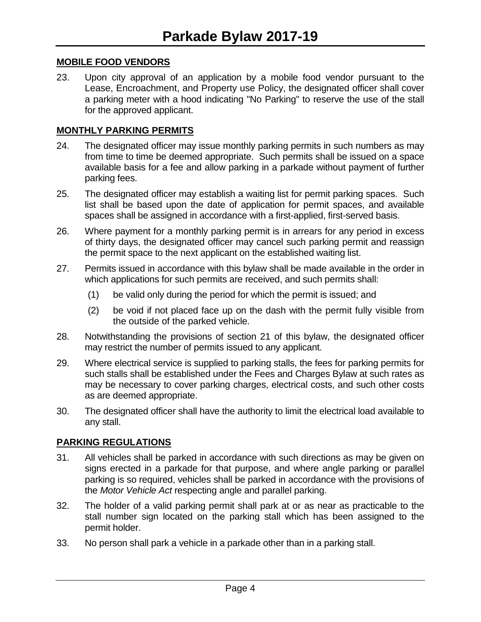#### **MOBILE FOOD VENDORS**

23. Upon city approval of an application by a mobile food vendor pursuant to the Lease, Encroachment, and Property use Policy, the designated officer shall cover a parking meter with a hood indicating "No Parking" to reserve the use of the stall for the approved applicant.

#### **MONTHLY PARKING PERMITS**

- 24. The designated officer may issue monthly parking permits in such numbers as may from time to time be deemed appropriate. Such permits shall be issued on a space available basis for a fee and allow parking in a parkade without payment of further parking fees.
- 25. The designated officer may establish a waiting list for permit parking spaces. Such list shall be based upon the date of application for permit spaces, and available spaces shall be assigned in accordance with a first-applied, first-served basis.
- 26. Where payment for a monthly parking permit is in arrears for any period in excess of thirty days, the designated officer may cancel such parking permit and reassign the permit space to the next applicant on the established waiting list.
- 27. Permits issued in accordance with this bylaw shall be made available in the order in which applications for such permits are received, and such permits shall:
	- (1) be valid only during the period for which the permit is issued; and
	- (2) be void if not placed face up on the dash with the permit fully visible from the outside of the parked vehicle.
- 28. Notwithstanding the provisions of section 21 of this bylaw, the designated officer may restrict the number of permits issued to any applicant.
- 29. Where electrical service is supplied to parking stalls, the fees for parking permits for such stalls shall be established under the Fees and Charges Bylaw at such rates as may be necessary to cover parking charges, electrical costs, and such other costs as are deemed appropriate.
- 30. The designated officer shall have the authority to limit the electrical load available to any stall.

#### **PARKING REGULATIONS**

- 31. All vehicles shall be parked in accordance with such directions as may be given on signs erected in a parkade for that purpose, and where angle parking or parallel parking is so required, vehicles shall be parked in accordance with the provisions of the *Motor Vehicle Act* respecting angle and parallel parking.
- 32. The holder of a valid parking permit shall park at or as near as practicable to the stall number sign located on the parking stall which has been assigned to the permit holder.
- 33. No person shall park a vehicle in a parkade other than in a parking stall.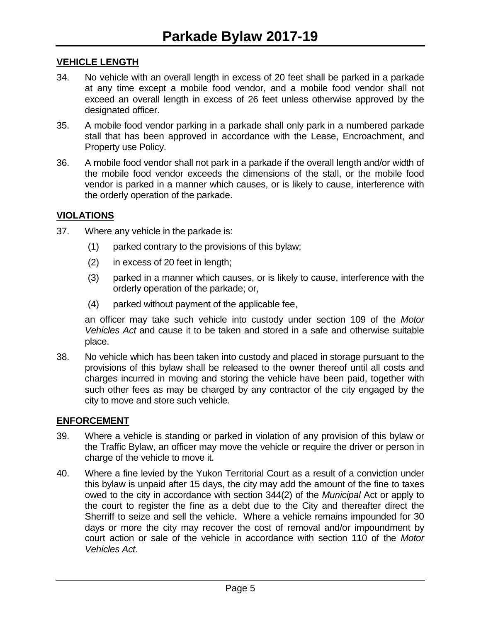## **VEHICLE LENGTH**

- 34. No vehicle with an overall length in excess of 20 feet shall be parked in a parkade at any time except a mobile food vendor, and a mobile food vendor shall not exceed an overall length in excess of 26 feet unless otherwise approved by the designated officer.
- 35. A mobile food vendor parking in a parkade shall only park in a numbered parkade stall that has been approved in accordance with the Lease, Encroachment, and Property use Policy.
- 36. A mobile food vendor shall not park in a parkade if the overall length and/or width of the mobile food vendor exceeds the dimensions of the stall, or the mobile food vendor is parked in a manner which causes, or is likely to cause, interference with the orderly operation of the parkade.

#### **VIOLATIONS**

- 37. Where any vehicle in the parkade is:
	- (1) parked contrary to the provisions of this bylaw;
	- (2) in excess of 20 feet in length;
	- (3) parked in a manner which causes, or is likely to cause, interference with the orderly operation of the parkade; or,
	- (4) parked without payment of the applicable fee,

an officer may take such vehicle into custody under section 109 of the *Motor Vehicles Act* and cause it to be taken and stored in a safe and otherwise suitable place.

38. No vehicle which has been taken into custody and placed in storage pursuant to the provisions of this bylaw shall be released to the owner thereof until all costs and charges incurred in moving and storing the vehicle have been paid, together with such other fees as may be charged by any contractor of the city engaged by the city to move and store such vehicle.

#### **ENFORCEMENT**

- 39. Where a vehicle is standing or parked in violation of any provision of this bylaw or the Traffic Bylaw, an officer may move the vehicle or require the driver or person in charge of the vehicle to move it.
- 40. Where a fine levied by the Yukon Territorial Court as a result of a conviction under this bylaw is unpaid after 15 days, the city may add the amount of the fine to taxes owed to the city in accordance with section 344(2) of the *Municipal* Act or apply to the court to register the fine as a debt due to the City and thereafter direct the Sherriff to seize and sell the vehicle. Where a vehicle remains impounded for 30 days or more the city may recover the cost of removal and/or impoundment by court action or sale of the vehicle in accordance with section 110 of the *Motor Vehicles Act*.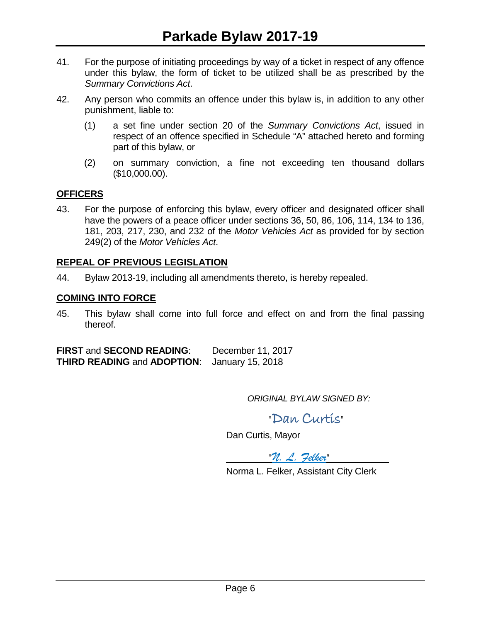- 41. For the purpose of initiating proceedings by way of a ticket in respect of any offence under this bylaw, the form of ticket to be utilized shall be as prescribed by the *Summary Convictions Act*.
- 42. Any person who commits an offence under this bylaw is, in addition to any other punishment, liable to:
	- (1) a set fine under section 20 of the *Summary Convictions Act*, issued in respect of an offence specified in Schedule "A" attached hereto and forming part of this bylaw, or
	- (2) on summary conviction, a fine not exceeding ten thousand dollars (\$10,000.00).

# **OFFICERS**

43. For the purpose of enforcing this bylaw, every officer and designated officer shall have the powers of a peace officer under sections 36, 50, 86, 106, 114, 134 to 136, 181, 203, 217, 230, and 232 of the *Motor Vehicles Act* as provided for by section 249(2) of the *Motor Vehicles Act*.

# **REPEAL OF PREVIOUS LEGISLATION**

44. Bylaw 2013-19, including all amendments thereto, is hereby repealed.

#### **COMING INTO FORCE**

45. This bylaw shall come into full force and effect on and from the final passing thereof.

**FIRST** and **SECOND READING**: December 11, 2017 **THIRD READING** and **ADOPTION**: January 15, 2018

*ORIGINAL BYLAW SIGNED BY:*

"Dan Curtis"

Dan Curtis, Mayor

"*N. L. Felker*"

Norma L. Felker, Assistant City Clerk